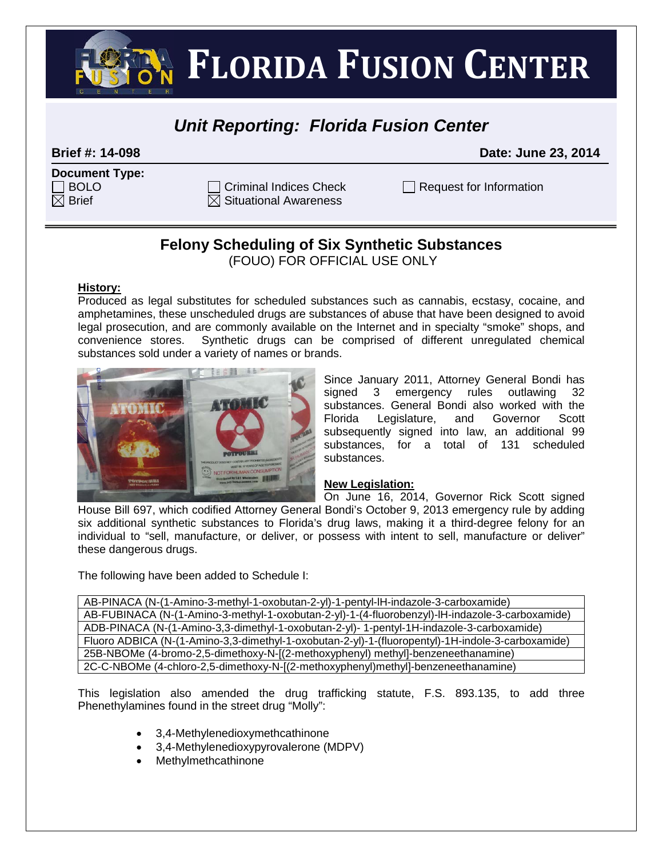**FLORIDA FUSION CENTER** 

# *Unit Reporting: Florida Fusion Center*

**Brief #: 14-098 Date: June 23, 2014**

| <b>Document Type:</b> |  |
|-----------------------|--|
| $\Box$ BOLO           |  |
| $\boxtimes$ Brief     |  |

 $\overline{\boxtimes}$  Situational Awareness

 $C$ riminal Indices Check  $\Box$  Request for Information

# **Felony Scheduling of Six Synthetic Substances**

(FOUO) FOR OFFICIAL USE ONLY

### **History:**

Produced as legal substitutes for scheduled substances such as cannabis, ecstasy, cocaine, and amphetamines, these unscheduled drugs are substances of abuse that have been designed to avoid legal prosecution, and are commonly available on the Internet and in specialty "smoke" shops, and convenience stores. Synthetic drugs can be comprised of different unregulated chemical substances sold under a variety of names or brands.



Since January 2011, Attorney General Bondi has signed 3 emergency rules outlawing 32 substances. General Bondi also worked with the Florida Legislature, and Governor Scott subsequently signed into law, an additional 99 substances, for a total of 131 scheduled substances.

### **New Legislation:**

On June 16, 2014, Governor Rick Scott signed House Bill 697, which codified Attorney General Bondi's October 9, 2013 emergency rule by adding six additional synthetic substances to Florida's drug laws, making it a third-degree felony for an individual to "sell, manufacture, or deliver, or possess with intent to sell, manufacture or deliver" these dangerous drugs.

The following have been added to Schedule I:

AB-PINACA (N-(1-Amino-3-methyl-1-oxobutan-2-yl)-1-pentyl-lH-indazole-3-carboxamide) AB-FUBINACA (N-(1-Amino-3-methyl-1-oxobutan-2-yl)-1-(4-fluorobenzyl)-lH-indazole-3-carboxamide) ADB-PINACA (N-(1-Amino-3,3-dimethyl-1-oxobutan-2-yl)- 1-pentyl-1H-indazole-3-carboxamide) Fluoro ADBICA (N-(1-Amino-3,3-dimethyl-1-oxobutan-2-yl)-1-(fluoropentyl)-1H-indole-3-carboxamide) 25B-NBOMe (4-bromo-2,5-dimethoxy-N-[(2-methoxyphenyl) methyl]-benzeneethanamine) 2C-C-NBOMe (4-chloro-2,5-dimethoxy-N-[(2-methoxyphenyl)methyl]-benzeneethanamine)

This legislation also amended the drug trafficking statute, F.S. 893.135, to add three Phenethylamines found in the street drug "Molly":

- 3,4-Methylenedioxymethcathinone
- 3,4-Methylenedioxypyrovalerone (MDPV)
- Methylmethcathinone